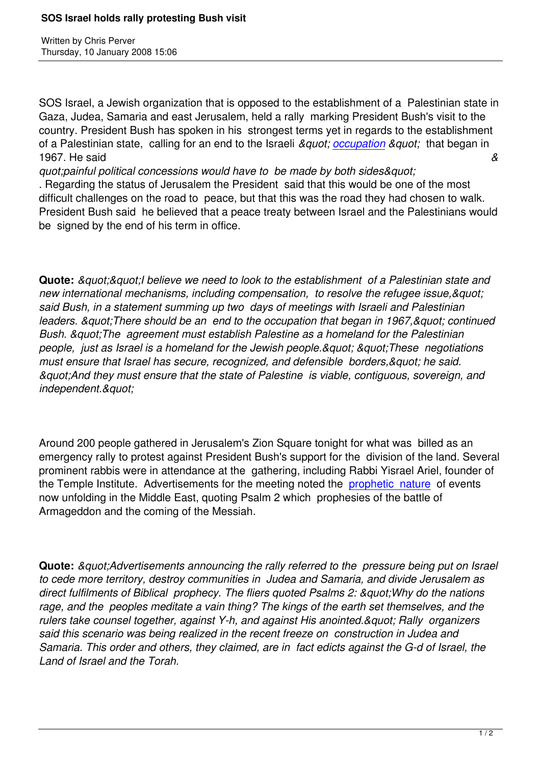Written by Christian by Christian by Christian by Christian by Christian by Christian by Chris Perus

SOS Israel, a Jewish organization that is opposed to the establishment of a Palestinian state in Gaza, Judea, Samaria and east Jerusalem, held a rally marking President Bush's visit to the country. President Bush has spoken in his strongest terms yet in regards to the establishment of a Palestinian state, calling for an end to the Israeli *" occupation "* that began in 1967. He said *&*

*duot:painful political concessions would have to be made by both sides&quot:* 

. Regarding the status of Jerusalem the President said that t[his would b](http://www.haaretz.com/hasen/spages/943314.html)e one of the most difficult challenges on the road to peace, but that this was the road they had chosen to walk. President Bush said he believed that a peace treaty between Israel and the Palestinians would be signed by the end of his term in office.

**Quote:** *&guot;&guot;I believe we need to look to the establishment of a Palestinian state and* new international mechanisms, including compensation, to resolve the refugee issue, & quot: *said Bush, in a statement summing up two days of meetings with Israeli and Palestinian* leaders. & *quot: There should be an end to the occupation that began in 1967, & quot: continued Bush. & guot; The agreement must establish Palestine as a homeland for the Palestinian people, just as Israel is a homeland for the Jewish people. & quot; "Aquot; These negotiations*" must ensure that Israel has secure, recognized, and defensible borders, & quot; he said. *"And they must ensure that the state of Palestine is viable, contiguous, sovereign, and independent."* 

Around 200 people gathered in Jerusalem's Zion Square tonight for what was billed as an emergency rally to protest against President Bush's support for the division of the land. Several prominent rabbis were in attendance at the gathering, including Rabbi Yisrael Ariel, founder of the Temple Institute. Advertisements for the meeting noted the prophetic nature of events now unfolding in the Middle East, quoting Psalm 2 which prophesies of the battle of Armageddon and the coming of the Messiah.

**Quote:** *&guot:Advertisements announcing the rally referred to the pressure being put on Israel to cede more territory, destroy communities in Judea and Samaria, and divide Jerusalem as* direct fulfilments of Biblical prophecy. The fliers quoted Psalms 2: & quot; Why do the nations *rage, and the peoples meditate a vain thing? The kings of the earth set themselves, and the*  rulers take counsel together, against Y-h, and against His anointed. & quot; Rally organizers *said this scenario was being realized in the recent freeze on construction in Judea and Samaria. This order and others, they claimed, are in fact edicts against the G-d of Israel, the Land of Israel and the Torah.*